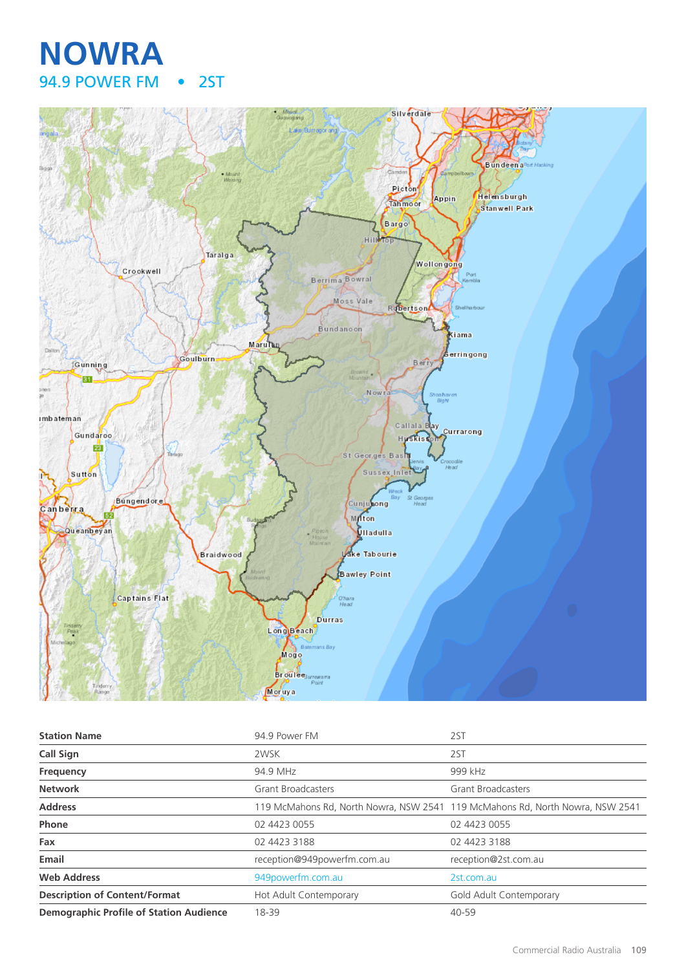# **NOWRA** 94.9 POWER FM • 2ST



| <b>Station Name</b>                            | 94.9 Power FM               | 2ST                                                                           |
|------------------------------------------------|-----------------------------|-------------------------------------------------------------------------------|
| Call Sign                                      | 2WSK                        | 2ST                                                                           |
| Frequency                                      | 94.9 MHz                    | 999 kHz                                                                       |
| <b>Network</b>                                 | <b>Grant Broadcasters</b>   | <b>Grant Broadcasters</b>                                                     |
| <b>Address</b>                                 |                             | 119 McMahons Rd, North Nowra, NSW 2541 119 McMahons Rd, North Nowra, NSW 2541 |
| Phone                                          | 02 4423 0055                | 02 4423 0055                                                                  |
| Fax                                            | 02 4423 3188                | 02 4423 3188                                                                  |
| Email                                          | reception@949powerfm.com.au | reception@2st.com.au                                                          |
| <b>Web Address</b>                             | 949powerfm.com.au           | 2st.com.au                                                                    |
| <b>Description of Content/Format</b>           | Hot Adult Contemporary      | Gold Adult Contemporary                                                       |
| <b>Demographic Profile of Station Audience</b> | 18-39                       | 40-59                                                                         |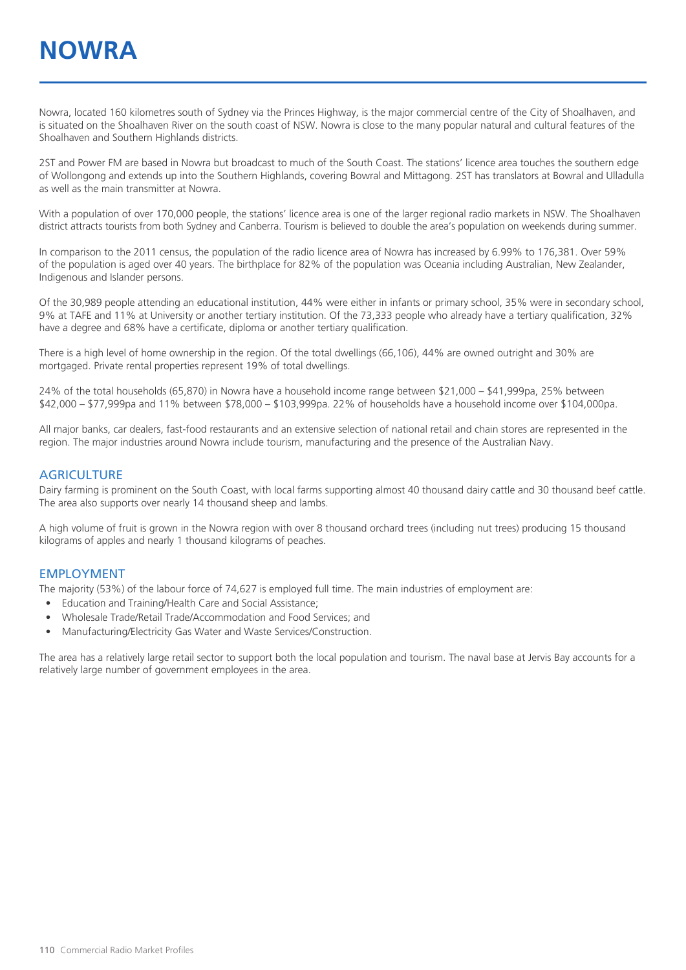Nowra, located 160 kilometres south of Sydney via the Princes Highway, is the major commercial centre of the City of Shoalhaven, and is situated on the Shoalhaven River on the south coast of NSW. Nowra is close to the many popular natural and cultural features of the Shoalhaven and Southern Highlands districts.

2ST and Power FM are based in Nowra but broadcast to much of the South Coast. The stations' licence area touches the southern edge of Wollongong and extends up into the Southern Highlands, covering Bowral and Mittagong. 2ST has translators at Bowral and Ulladulla as well as the main transmitter at Nowra.

With a population of over 170,000 people, the stations' licence area is one of the larger regional radio markets in NSW. The Shoalhaven district attracts tourists from both Sydney and Canberra. Tourism is believed to double the area's population on weekends during summer.

In comparison to the 2011 census, the population of the radio licence area of Nowra has increased by 6.99% to 176,381. Over 59% of the population is aged over 40 years. The birthplace for 82% of the population was Oceania including Australian, New Zealander, Indigenous and Islander persons.

Of the 30,989 people attending an educational institution, 44% were either in infants or primary school, 35% were in secondary school, 9% at TAFE and 11% at University or another tertiary institution. Of the 73,333 people who already have a tertiary qualification, 32% have a degree and 68% have a certificate, diploma or another tertiary qualification.

There is a high level of home ownership in the region. Of the total dwellings (66,106), 44% are owned outright and 30% are mortgaged. Private rental properties represent 19% of total dwellings.

24% of the total households (65,870) in Nowra have a household income range between \$21,000 – \$41,999pa, 25% between \$42,000 – \$77,999pa and 11% between \$78,000 – \$103,999pa. 22% of households have a household income over \$104,000pa.

All major banks, car dealers, fast-food restaurants and an extensive selection of national retail and chain stores are represented in the region. The major industries around Nowra include tourism, manufacturing and the presence of the Australian Navy.

#### **AGRICULTURE**

Dairy farming is prominent on the South Coast, with local farms supporting almost 40 thousand dairy cattle and 30 thousand beef cattle. The area also supports over nearly 14 thousand sheep and lambs.

A high volume of fruit is grown in the Nowra region with over 8 thousand orchard trees (including nut trees) producing 15 thousand kilograms of apples and nearly 1 thousand kilograms of peaches.

#### EMPLOYMENT

The majority (53%) of the labour force of 74,627 is employed full time. The main industries of employment are:

- Education and Training/Health Care and Social Assistance;
- Wholesale Trade/Retail Trade/Accommodation and Food Services; and
- Manufacturing/Electricity Gas Water and Waste Services/Construction.

The area has a relatively large retail sector to support both the local population and tourism. The naval base at Jervis Bay accounts for a relatively large number of government employees in the area.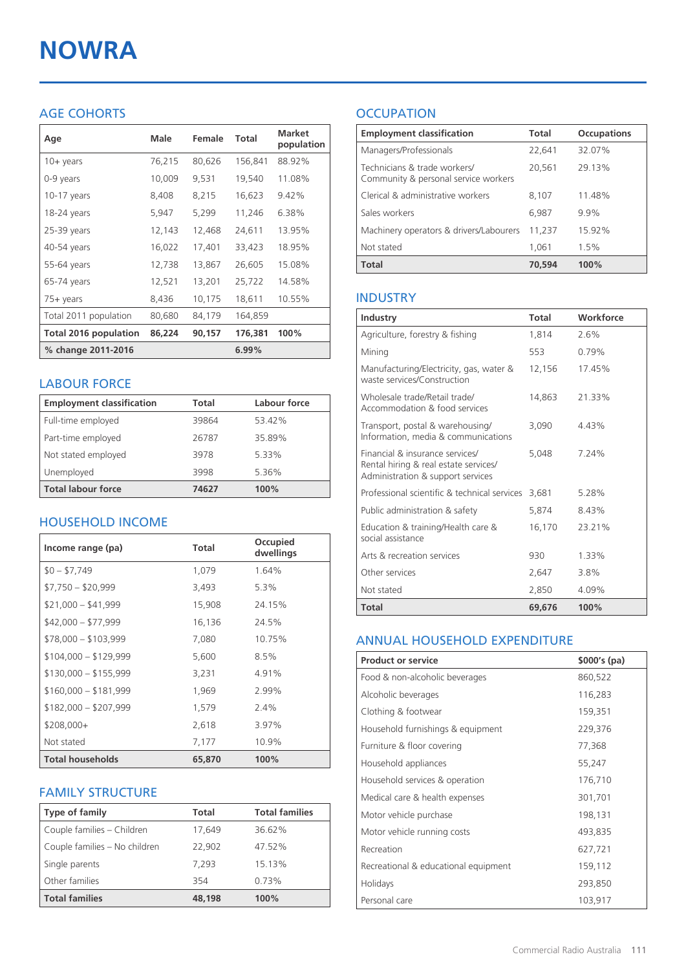# **NOWRA**

### AGE COHORTS

| Age                          | Male   | Female | Total   | <b>Market</b><br>population |
|------------------------------|--------|--------|---------|-----------------------------|
| 10+ years                    | 76,215 | 80,626 | 156,841 | 88.92%                      |
| 0-9 years                    | 10,009 | 9,531  | 19,540  | 11.08%                      |
| $10-17$ years                | 8,408  | 8,215  | 16,623  | 9.42%                       |
| 18-24 years                  | 5,947  | 5,299  | 11,246  | 6.38%                       |
| $25-39$ years                | 12,143 | 12,468 | 24,611  | 13.95%                      |
| 40-54 years                  | 16,022 | 17,401 | 33,423  | 18.95%                      |
| 55-64 years                  | 12,738 | 13,867 | 26,605  | 15.08%                      |
| 65-74 years                  | 12,521 | 13,201 | 25,722  | 14.58%                      |
| $75+$ years                  | 8,436  | 10,175 | 18,611  | 10.55%                      |
| Total 2011 population        | 80,680 | 84,179 | 164,859 |                             |
| <b>Total 2016 population</b> | 86,224 | 90,157 | 176,381 | 100%                        |
| % change 2011-2016           |        |        | 6.99%   |                             |

#### LABOUR FORCE

| <b>Employment classification</b> | Total | Labour force |
|----------------------------------|-------|--------------|
| Full-time employed               | 39864 | 53.42%       |
| Part-time employed               | 26787 | 35.89%       |
| Not stated employed              | 3978  | 5.33%        |
| Unemployed                       | 3998  | 5.36%        |
| <b>Total labour force</b>        | 74627 | 100%         |

#### HOUSEHOLD INCOME

| Income range (pa)       | <b>Total</b> | Occupied<br>dwellings |
|-------------------------|--------------|-----------------------|
| $$0 - $7,749$           | 1,079        | 1.64%                 |
| $$7,750 - $20,999$      | 3,493        | 5.3%                  |
| $$21,000 - $41,999$     | 15,908       | 24.15%                |
| $$42,000 - $77,999$     | 16,136       | 24.5%                 |
| $$78,000 - $103,999$    | 7,080        | 10.75%                |
| $$104,000 - $129,999$   | 5,600        | 8.5%                  |
| $$130,000 - $155,999$   | 3,231        | 4.91%                 |
| $$160,000 - $181,999$   | 1,969        | 2.99%                 |
| $$182,000 - $207,999$   | 1,579        | 2.4%                  |
| $$208,000+$             | 2,618        | 3.97%                 |
| Not stated              | 7,177        | 10.9%                 |
| <b>Total households</b> | 65,870       | 100%                  |

#### FAMILY STRUCTURE

| <b>Type of family</b>         | <b>Total</b> | <b>Total families</b> |
|-------------------------------|--------------|-----------------------|
| Couple families - Children    | 17,649       | 36.62%                |
| Couple families - No children | 22.902       | 47.52%                |
| Single parents                | 7.293        | 15.13%                |
| Other families                | 354          | 0.73%                 |
| <b>Total families</b>         | 48,198       | 100%                  |

## **OCCUPATION**

| <b>Employment classification</b>                                     | <b>Total</b> | <b>Occupations</b> |
|----------------------------------------------------------------------|--------------|--------------------|
| Managers/Professionals                                               | 22,641       | 32.07%             |
| Technicians & trade workers/<br>Community & personal service workers | 20,561       | 29.13%             |
| Clerical & administrative workers                                    | 8,107        | 11.48%             |
| Sales workers                                                        | 6,987        | 9.9%               |
| Machinery operators & drivers/Labourers                              | 11,237       | 15.92%             |
| Not stated                                                           | 1,061        | 1.5%               |
| <b>Total</b>                                                         | 70,594       | 100%               |

#### INDUSTRY

| Industry                                                                                                      | Total  | Workforce |
|---------------------------------------------------------------------------------------------------------------|--------|-----------|
| Agriculture, forestry & fishing                                                                               | 1,814  | 2.6%      |
| Mining                                                                                                        | 553    | 0.79%     |
| Manufacturing/Electricity, gas, water &<br>waste services/Construction                                        | 12,156 | 17.45%    |
| Wholesale trade/Retail trade/<br>Accommodation & food services                                                | 14,863 | 21.33%    |
| Transport, postal & warehousing/<br>Information, media & communications                                       | 3,090  | 4.43%     |
| Financial & insurance services/<br>Rental hiring & real estate services/<br>Administration & support services | 5.048  | 7.24%     |
| Professional scientific & technical services                                                                  | 3,681  | 5.28%     |
| Public administration & safety                                                                                | 5,874  | 8.43%     |
| Education & training/Health care &<br>social assistance                                                       | 16,170 | 23.21%    |
| Arts & recreation services                                                                                    | 930    | 1.33%     |
| Other services                                                                                                | 2,647  | 3.8%      |
| Not stated                                                                                                    | 2,850  | 4.09%     |
| Total                                                                                                         | 69,676 | 100%      |

#### ANNUAL HOUSEHOLD EXPENDITURE

| <b>Product or service</b>            | $$000's$ (pa) |
|--------------------------------------|---------------|
| Food & non-alcoholic beverages       | 860,522       |
| Alcoholic beverages                  | 116,283       |
| Clothing & footwear                  | 159,351       |
| Household furnishings & equipment    | 229,376       |
| Furniture & floor covering           | 77,368        |
| Household appliances                 | 55,247        |
| Household services & operation       | 176,710       |
| Medical care & health expenses       | 301,701       |
| Motor vehicle purchase               | 198,131       |
| Motor vehicle running costs          | 493,835       |
| Recreation                           | 627,721       |
| Recreational & educational equipment | 159,112       |
| Holidays                             | 293,850       |
| Personal care                        | 103,917       |